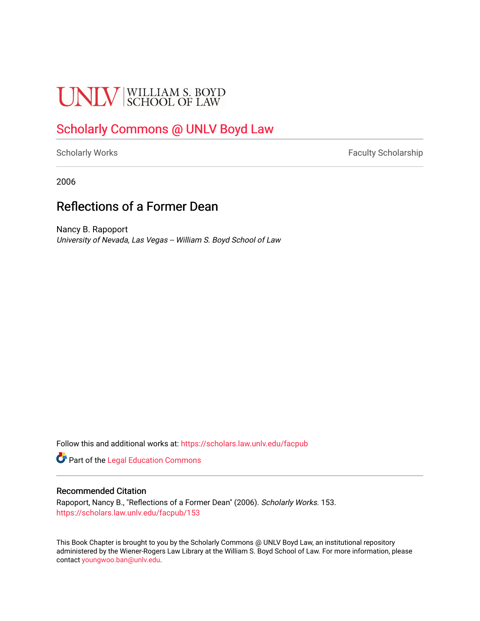## **UNLV** SCHOOL OF LAW

## [Scholarly Commons @ UNLV Boyd Law](https://scholars.law.unlv.edu/)

[Scholarly Works](https://scholars.law.unlv.edu/facpub) **Faculty Scholarship** Faculty Scholarship

2006

### Reflections of a Former Dean

Nancy B. Rapoport University of Nevada, Las Vegas -- William S. Boyd School of Law

Follow this and additional works at: [https://scholars.law.unlv.edu/facpub](https://scholars.law.unlv.edu/facpub?utm_source=scholars.law.unlv.edu%2Ffacpub%2F153&utm_medium=PDF&utm_campaign=PDFCoverPages)

Part of the [Legal Education Commons](http://network.bepress.com/hgg/discipline/857?utm_source=scholars.law.unlv.edu%2Ffacpub%2F153&utm_medium=PDF&utm_campaign=PDFCoverPages) 

#### Recommended Citation

Rapoport, Nancy B., "Reflections of a Former Dean" (2006). Scholarly Works. 153. [https://scholars.law.unlv.edu/facpub/153](https://scholars.law.unlv.edu/facpub/153?utm_source=scholars.law.unlv.edu%2Ffacpub%2F153&utm_medium=PDF&utm_campaign=PDFCoverPages)

This Book Chapter is brought to you by the Scholarly Commons @ UNLV Boyd Law, an institutional repository administered by the Wiener-Rogers Law Library at the William S. Boyd School of Law. For more information, please contact [youngwoo.ban@unlv.edu](mailto:youngwoo.ban@unlv.edu).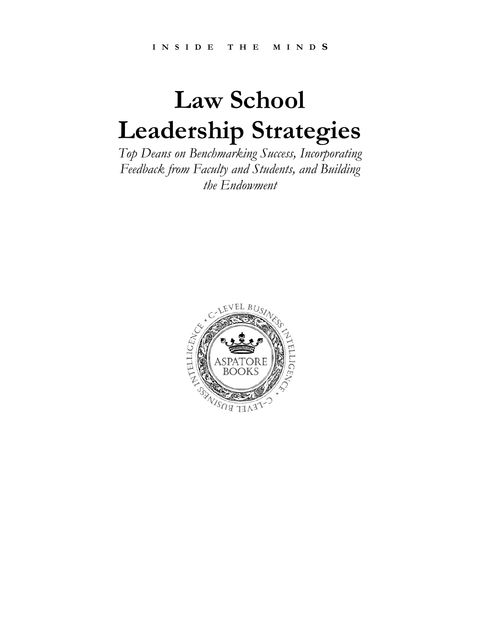# **Law School Leadership Strategies**

*Top Deans on Benchmarking Success, Incorporating Feedback from Faculty and Students, and Building the Endowment* 

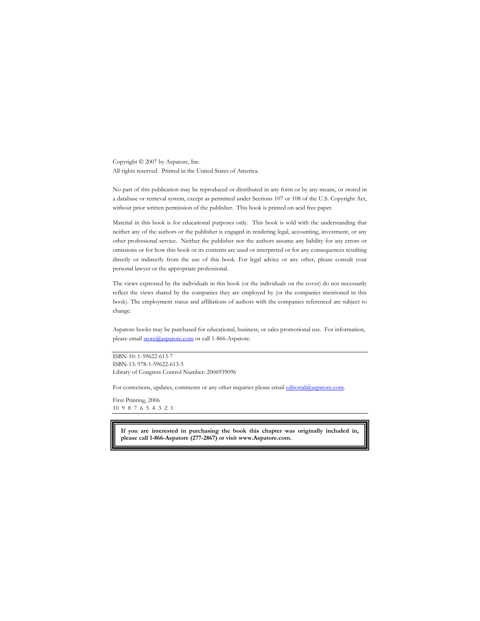Copyright © 2007 by Aspatore, Inc. All rights reserved. Printed in the United States of America.

No part of this publication may be reproduced or distributed in any form or by any means, or stored in a database or retrieval system, except as permitted under Sections 107 or 108 of the U.S. Copyright Act, without prior written permission of the publisher. This book is printed on acid free paper.

Material in this book is for educational purposes only. This book is sold with the understanding that neither any of the authors or the publisher is engaged in rendering legal, accounting, investment, or any other professional service. Neither the publisher nor the authors assume any liability for any errors or omissions or for how this book or its contents are used or interpreted or for any consequences resulting directly or indirectly from the use of this book. For legal advice or any other, please consult your personal lawyer or the appropriate professional.

The views expressed by the individuals in this book (or the individuals on the cover) do not necessarily reflect the views shared by the companies they are employed by (or the companies mentioned in this book). The employment status and affiliations of authors with the companies referenced are subject to change.

Aspatore books may be purchased for educational, business, or sales promotional use. For information, please email store@aspatore.com or call 1-866-Aspatore.

ISBN-10: 1-59622-613-7 ISBN-13: 978-1-59622-613-5 Library of Congress Control Number: 2006939096

For corrections, updates, comments or any other inquiries please email editorial@aspatore.com.

First Printing, 2006 10 9 8 7 6 5 4 3 2 1

> **If you are interested in purchasing the book this chapter was originally included in, please call 1-866-Aspatore (277-2867) or visit www.Aspatore.com.**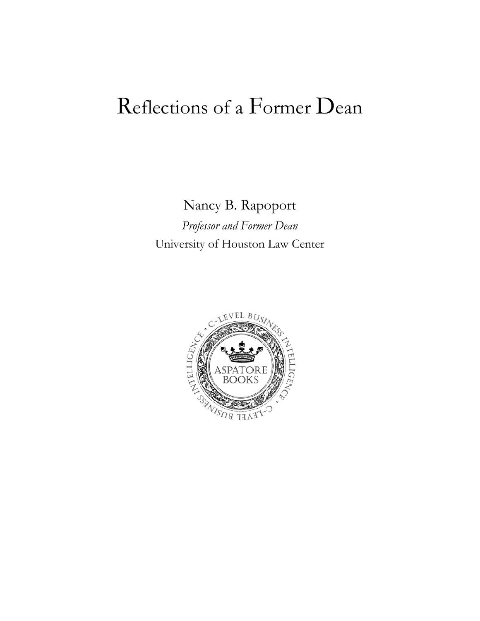## Reflections of a Former Dean

Nancy B. Rapoport *Professor and Former Dean*  University of Houston Law Center

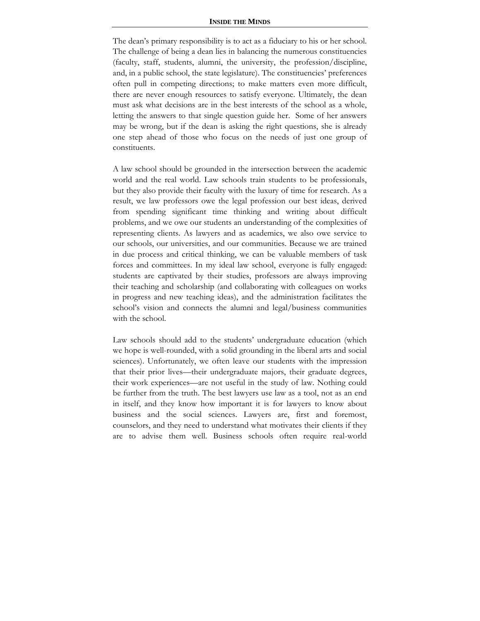#### **INSIDE THE MINDS**

The dean's primary responsibility is to act as a fiduciary to his or her school. The challenge of being a dean lies in balancing the numerous constituencies (faculty, staff, students, alumni, the university, the profession/discipline, and, in a public school, the state legislature). The constituencies' preferences often pull in competing directions; to make matters even more difficult, there are never enough resources to satisfy everyone. Ultimately, the dean must ask what decisions are in the best interests of the school as a whole, letting the answers to that single question guide her. Some of her answers may be wrong, but if the dean is asking the right questions, she is already one step ahead of those who focus on the needs of just one group of constituents.

A law school should be grounded in the intersection between the academic world and the real world. Law schools train students to be professionals, but they also provide their faculty with the luxury of time for research. As a result, we law professors owe the legal profession our best ideas, derived from spending significant time thinking and writing about difficult problems, and we owe our students an understanding of the complexities of representing clients. As lawyers and as academics, we also owe service to our schools, our universities, and our communities. Because we are trained in due process and critical thinking, we can be valuable members of task forces and committees. In my ideal law school, everyone is fully engaged: students are captivated by their studies, professors are always improving their teaching and scholarship (and collaborating with colleagues on works in progress and new teaching ideas), and the administration facilitates the school's vision and connects the alumni and legal/business communities with the school.

Law schools should add to the students' undergraduate education (which we hope is well-rounded, with a solid grounding in the liberal arts and social sciences). Unfortunately, we often leave our students with the impression that their prior lives—their undergraduate majors, their graduate degrees, their work experiences—are not useful in the study of law. Nothing could be further from the truth. The best lawyers use law as a tool, not as an end in itself, and they know how important it is for lawyers to know about business and the social sciences. Lawyers are, first and foremost, counselors, and they need to understand what motivates their clients if they are to advise them well. Business schools often require real-world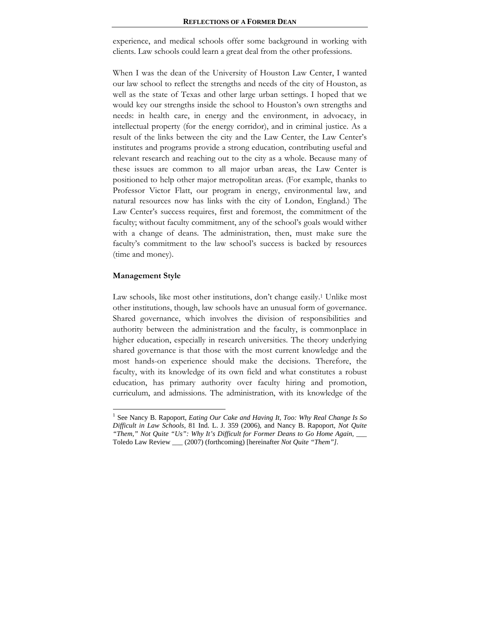experience, and medical schools offer some background in working with clients. Law schools could learn a great deal from the other professions.

When I was the dean of the University of Houston Law Center, I wanted our law school to reflect the strengths and needs of the city of Houston, as well as the state of Texas and other large urban settings. I hoped that we would key our strengths inside the school to Houston's own strengths and needs: in health care, in energy and the environment, in advocacy, in intellectual property (for the energy corridor), and in criminal justice. As a result of the links between the city and the Law Center, the Law Center's institutes and programs provide a strong education, contributing useful and relevant research and reaching out to the city as a whole. Because many of these issues are common to all major urban areas, the Law Center is positioned to help other major metropolitan areas. (For example, thanks to Professor Victor Flatt, our program in energy, environmental law, and natural resources now has links with the city of London, England.) The Law Center's success requires, first and foremost, the commitment of the faculty; without faculty commitment, any of the school's goals would wither with a change of deans. The administration, then, must make sure the faculty's commitment to the law school's success is backed by resources (time and money).

#### **Management Style**

 $\overline{a}$ 

Law schools, like most other institutions, don't change easily.<sup>1</sup> Unlike most other institutions, though, law schools have an unusual form of governance. Shared governance, which involves the division of responsibilities and authority between the administration and the faculty, is commonplace in higher education, especially in research universities. The theory underlying shared governance is that those with the most current knowledge and the most hands-on experience should make the decisions. Therefore, the faculty, with its knowledge of its own field and what constitutes a robust education, has primary authority over faculty hiring and promotion, curriculum, and admissions. The administration, with its knowledge of the

<sup>&</sup>lt;sup>1</sup> See Nancy B. Rapoport, *Eating Our Cake and Having It, Too: Why Real Change Is So Difficult in Law Schools,* 81 Ind. L. J. 359 (2006), and Nancy B. Rapoport, *Not Quite "Them," Not Quite "Us": Why It's Difficult for Former Deans to Go Home Again,* \_\_\_ Toledo Law Review \_\_\_ (2007) (forthcoming) [hereinafter *Not Quite "Them"].*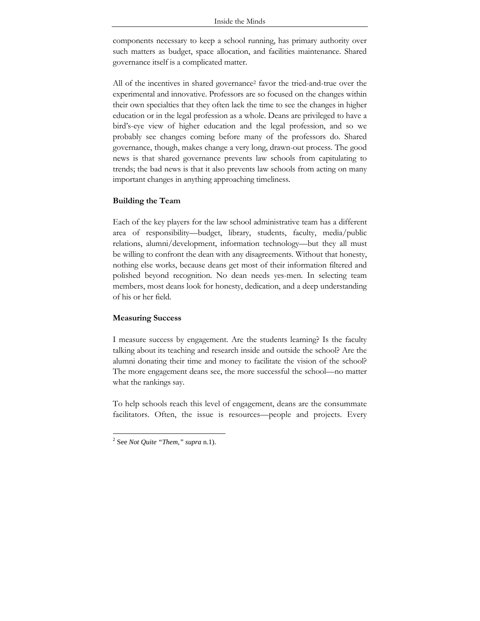components necessary to keep a school running, has primary authority over such matters as budget, space allocation, and facilities maintenance. Shared governance itself is a complicated matter.

All of the incentives in shared governance<sup>2</sup> favor the tried-and-true over the experimental and innovative. Professors are so focused on the changes within their own specialties that they often lack the time to see the changes in higher education or in the legal profession as a whole. Deans are privileged to have a bird's-eye view of higher education and the legal profession, and so we probably see changes coming before many of the professors do. Shared governance, though, makes change a very long, drawn-out process. The good news is that shared governance prevents law schools from capitulating to trends; the bad news is that it also prevents law schools from acting on many important changes in anything approaching timeliness.

#### **Building the Team**

Each of the key players for the law school administrative team has a different area of responsibility—budget, library, students, faculty, media/public relations, alumni/development, information technology—but they all must be willing to confront the dean with any disagreements. Without that honesty, nothing else works, because deans get most of their information filtered and polished beyond recognition. No dean needs yes-men. In selecting team members, most deans look for honesty, dedication, and a deep understanding of his or her field.

#### **Measuring Success**

I measure success by engagement. Are the students learning? Is the faculty talking about its teaching and research inside and outside the school? Are the alumni donating their time and money to facilitate the vision of the school? The more engagement deans see, the more successful the school—no matter what the rankings say.

To help schools reach this level of engagement, deans are the consummate facilitators. Often, the issue is resources—people and projects. Every

 $\overline{a}$ 

<sup>2</sup> See *Not Quite "Them," supra* n.1).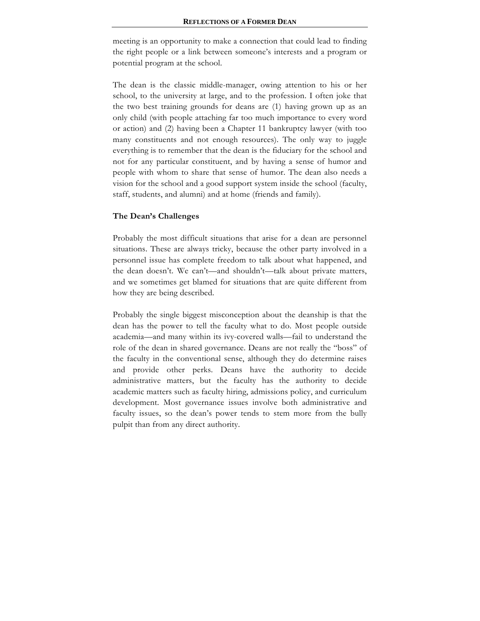meeting is an opportunity to make a connection that could lead to finding the right people or a link between someone's interests and a program or potential program at the school.

The dean is the classic middle-manager, owing attention to his or her school, to the university at large, and to the profession. I often joke that the two best training grounds for deans are (1) having grown up as an only child (with people attaching far too much importance to every word or action) and (2) having been a Chapter 11 bankruptcy lawyer (with too many constituents and not enough resources). The only way to juggle everything is to remember that the dean is the fiduciary for the school and not for any particular constituent, and by having a sense of humor and people with whom to share that sense of humor. The dean also needs a vision for the school and a good support system inside the school (faculty, staff, students, and alumni) and at home (friends and family).

#### **The Dean's Challenges**

Probably the most difficult situations that arise for a dean are personnel situations. These are always tricky, because the other party involved in a personnel issue has complete freedom to talk about what happened, and the dean doesn't. We can't—and shouldn't—talk about private matters, and we sometimes get blamed for situations that are quite different from how they are being described.

Probably the single biggest misconception about the deanship is that the dean has the power to tell the faculty what to do. Most people outside academia—and many within its ivy-covered walls—fail to understand the role of the dean in shared governance. Deans are not really the "boss" of the faculty in the conventional sense, although they do determine raises and provide other perks. Deans have the authority to decide administrative matters, but the faculty has the authority to decide academic matters such as faculty hiring, admissions policy, and curriculum development. Most governance issues involve both administrative and faculty issues, so the dean's power tends to stem more from the bully pulpit than from any direct authority.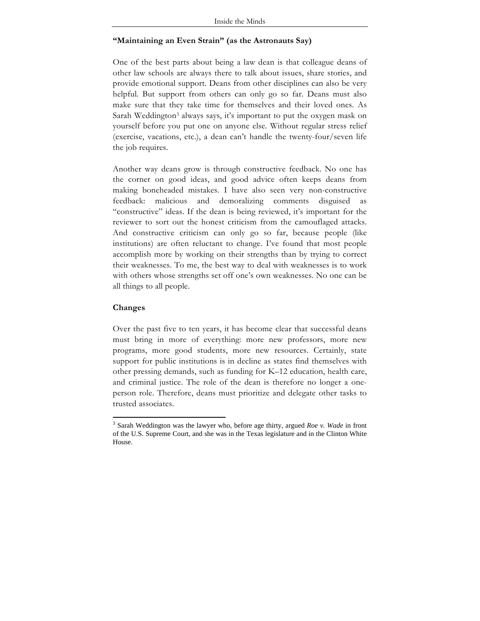#### **"Maintaining an Even Strain" (as the Astronauts Say)**

One of the best parts about being a law dean is that colleague deans of other law schools are always there to talk about issues, share stories, and provide emotional support. Deans from other disciplines can also be very helpful. But support from others can only go so far. Deans must also make sure that they take time for themselves and their loved ones. As Sarah Weddington<sup>3</sup> always says, it's important to put the oxygen mask on yourself before you put one on anyone else. Without regular stress relief (exercise, vacations, etc.), a dean can't handle the twenty-four/seven life the job requires.

Another way deans grow is through constructive feedback. No one has the corner on good ideas, and good advice often keeps deans from making boneheaded mistakes. I have also seen very non-constructive feedback: malicious and demoralizing comments disguised as "constructive" ideas. If the dean is being reviewed, it's important for the reviewer to sort out the honest criticism from the camouflaged attacks. And constructive criticism can only go so far, because people (like institutions) are often reluctant to change. I've found that most people accomplish more by working on their strengths than by trying to correct their weaknesses. To me, the best way to deal with weaknesses is to work with others whose strengths set off one's own weaknesses. No one can be all things to all people.

#### **Changes**

 $\overline{a}$ 

Over the past five to ten years, it has become clear that successful deans must bring in more of everything: more new professors, more new programs, more good students, more new resources. Certainly, state support for public institutions is in decline as states find themselves with other pressing demands, such as funding for K–12 education, health care, and criminal justice. The role of the dean is therefore no longer a oneperson role. Therefore, deans must prioritize and delegate other tasks to trusted associates.

<sup>3</sup> Sarah Weddington was the lawyer who, before age thirty, argued *Roe v. Wade* in front of the U.S. Supreme Court, and she was in the Texas legislature and in the Clinton White House.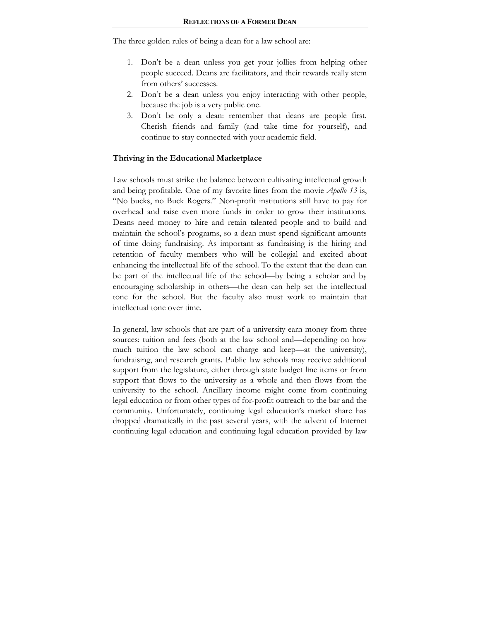The three golden rules of being a dean for a law school are:

- 1. Don't be a dean unless you get your jollies from helping other people succeed. Deans are facilitators, and their rewards really stem from others' successes.
- 2. Don't be a dean unless you enjoy interacting with other people, because the job is a very public one.
- 3. Don't be only a dean: remember that deans are people first. Cherish friends and family (and take time for yourself), and continue to stay connected with your academic field.

#### **Thriving in the Educational Marketplace**

Law schools must strike the balance between cultivating intellectual growth and being profitable. One of my favorite lines from the movie *Apollo 13* is, "No bucks, no Buck Rogers." Non-profit institutions still have to pay for overhead and raise even more funds in order to grow their institutions. Deans need money to hire and retain talented people and to build and maintain the school's programs, so a dean must spend significant amounts of time doing fundraising. As important as fundraising is the hiring and retention of faculty members who will be collegial and excited about enhancing the intellectual life of the school. To the extent that the dean can be part of the intellectual life of the school—by being a scholar and by encouraging scholarship in others—the dean can help set the intellectual tone for the school. But the faculty also must work to maintain that intellectual tone over time.

In general, law schools that are part of a university earn money from three sources: tuition and fees (both at the law school and—depending on how much tuition the law school can charge and keep—at the university), fundraising, and research grants. Public law schools may receive additional support from the legislature, either through state budget line items or from support that flows to the university as a whole and then flows from the university to the school. Ancillary income might come from continuing legal education or from other types of for-profit outreach to the bar and the community. Unfortunately, continuing legal education's market share has dropped dramatically in the past several years, with the advent of Internet continuing legal education and continuing legal education provided by law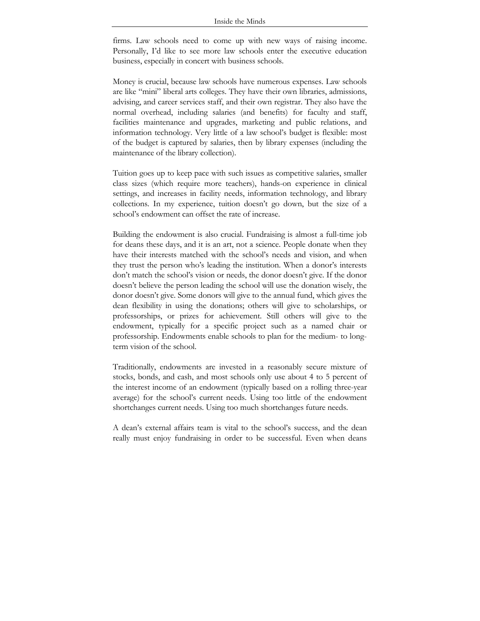firms. Law schools need to come up with new ways of raising income. Personally, I'd like to see more law schools enter the executive education business, especially in concert with business schools.

Money is crucial, because law schools have numerous expenses. Law schools are like "mini" liberal arts colleges. They have their own libraries, admissions, advising, and career services staff, and their own registrar. They also have the normal overhead, including salaries (and benefits) for faculty and staff, facilities maintenance and upgrades, marketing and public relations, and information technology. Very little of a law school's budget is flexible: most of the budget is captured by salaries, then by library expenses (including the maintenance of the library collection).

Tuition goes up to keep pace with such issues as competitive salaries, smaller class sizes (which require more teachers), hands-on experience in clinical settings, and increases in facility needs, information technology, and library collections. In my experience, tuition doesn't go down, but the size of a school's endowment can offset the rate of increase.

Building the endowment is also crucial. Fundraising is almost a full-time job for deans these days, and it is an art, not a science. People donate when they have their interests matched with the school's needs and vision, and when they trust the person who's leading the institution. When a donor's interests don't match the school's vision or needs, the donor doesn't give. If the donor doesn't believe the person leading the school will use the donation wisely, the donor doesn't give. Some donors will give to the annual fund, which gives the dean flexibility in using the donations; others will give to scholarships, or professorships, or prizes for achievement. Still others will give to the endowment, typically for a specific project such as a named chair or professorship. Endowments enable schools to plan for the medium- to longterm vision of the school.

Traditionally, endowments are invested in a reasonably secure mixture of stocks, bonds, and cash, and most schools only use about 4 to 5 percent of the interest income of an endowment (typically based on a rolling three-year average) for the school's current needs. Using too little of the endowment shortchanges current needs. Using too much shortchanges future needs.

A dean's external affairs team is vital to the school's success, and the dean really must enjoy fundraising in order to be successful. Even when deans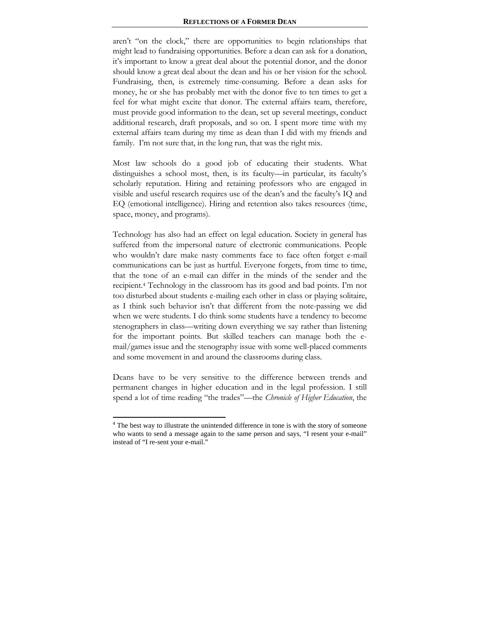aren't "on the clock," there are opportunities to begin relationships that might lead to fundraising opportunities. Before a dean can ask for a donation, it's important to know a great deal about the potential donor, and the donor should know a great deal about the dean and his or her vision for the school. Fundraising, then, is extremely time-consuming. Before a dean asks for money, he or she has probably met with the donor five to ten times to get a feel for what might excite that donor. The external affairs team, therefore, must provide good information to the dean, set up several meetings, conduct additional research, draft proposals, and so on. I spent more time with my external affairs team during my time as dean than I did with my friends and family. I'm not sure that, in the long run, that was the right mix.

Most law schools do a good job of educating their students. What distinguishes a school most, then, is its faculty—in particular, its faculty's scholarly reputation. Hiring and retaining professors who are engaged in visible and useful research requires use of the dean's and the faculty's IQ and EQ (emotional intelligence). Hiring and retention also takes resources (time, space, money, and programs).

Technology has also had an effect on legal education. Society in general has suffered from the impersonal nature of electronic communications. People who wouldn't dare make nasty comments face to face often forget e-mail communications can be just as hurtful. Everyone forgets, from time to time, that the tone of an e-mail can differ in the minds of the sender and the recipient.4 Technology in the classroom has its good and bad points. I'm not too disturbed about students e-mailing each other in class or playing solitaire, as I think such behavior isn't that different from the note-passing we did when we were students. I do think some students have a tendency to become stenographers in class—writing down everything we say rather than listening for the important points. But skilled teachers can manage both the email/games issue and the stenography issue with some well-placed comments and some movement in and around the classrooms during class.

Deans have to be very sensitive to the difference between trends and permanent changes in higher education and in the legal profession. I still spend a lot of time reading "the trades"—the *Chronicle of Higher Education*, the

 $\overline{a}$ 

<sup>&</sup>lt;sup>4</sup> The best way to illustrate the unintended difference in tone is with the story of someone who wants to send a message again to the same person and says, "I resent your e-mail" instead of "I re-sent your e-mail."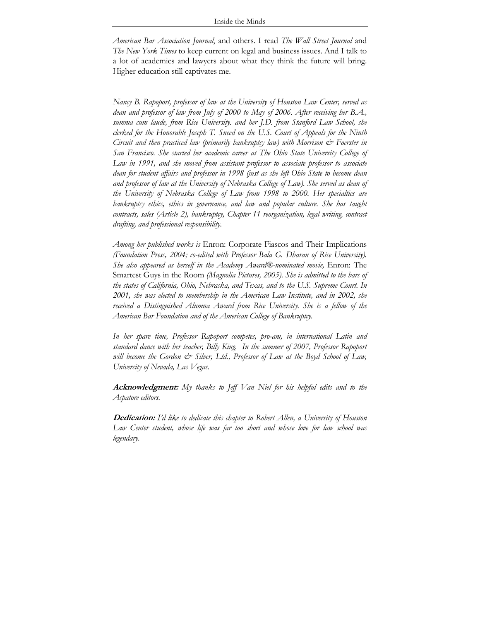*American Bar Association Journal*, and others. I read *The Wall Street Journal* and *The New York Times* to keep current on legal and business issues. And I talk to a lot of academics and lawyers about what they think the future will bring. Higher education still captivates me.

*Nancy B. Rapoport, professor of law at the University of Houston Law Center, served as dean and professor of law from July of 2000 to May of 2006. After receiving her B.A., summa cum laude, from Rice University. and her J.D. from Stanford Law School, she clerked for the Honorable Joseph T. Sneed on the U.S. Court of Appeals for the Ninth Circuit and then practiced law (primarily bankruptcy law) with Morrison & Foerster in San Francisco. She started her academic career at The Ohio State University College of*  Law in 1991, and she moved from assistant professor to associate professor to associate *dean for student affairs and professor in 1998 (just as she left Ohio State to become dean and professor of law at the University of Nebraska College of Law). She served as dean of the University of Nebraska College of Law from 1998 to 2000. Her specialties are bankruptcy ethics, ethics in governance, and law and popular culture. She has taught contracts, sales (Article 2), bankruptcy, Chapter 11 reorganization, legal writing, contract drafting, and professional responsibility.* 

*Among her published works is* Enron: Corporate Fiascos and Their Implications *(Foundation Press, 2004; co-edited with Professor Bala G. Dharan of Rice University). She also appeared as herself in the Academy Award®-nominated movie,* Enron: The Smartest Guys in the Room *(Magnolia Pictures, 2005). She is admitted to the bars of the states of California, Ohio, Nebraska, and Texas, and to the U.S. Supreme Court. In 2001, she was elected to membership in the American Law Institute, and in 2002, she received a Distinguished Alumna Award from Rice University. She is a fellow of the American Bar Foundation and of the American College of Bankruptcy.*

*In her spare time, Professor Rapoport competes, pro-am, in international Latin and standard dance with her teacher, Billy King. In the summer of 2007, Professor Rapoport will become the Gordon & Silver, Ltd., Professor of Law at the Boyd School of Law, University of Nevada, Las Vegas.* 

**Acknowledgment:** *My thanks to Jeff Van Niel for his helpful edits and to the Aspatore editors.* 

**Dedication:** *I'd like to dedicate this chapter to Robert Allen, a University of Houston Law Center student, whose life was far too short and whose love for law school was legendary.*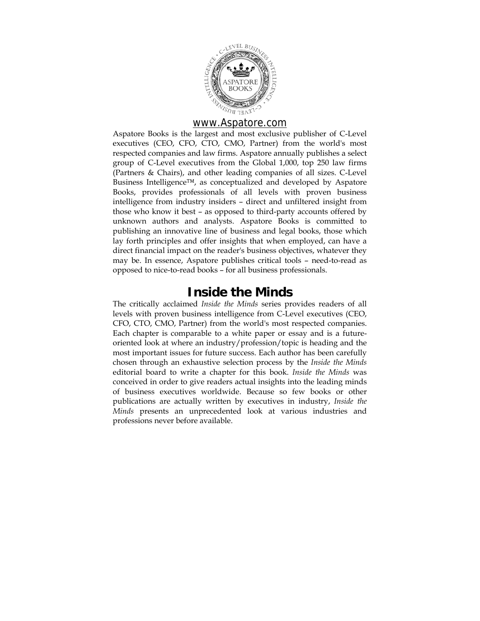

#### www.Aspatore.com

Aspatore Books is the largest and most exclusive publisher of C-Level executives (CEO, CFO, CTO, CMO, Partner) from the world's most respected companies and law firms. Aspatore annually publishes a select group of C-Level executives from the Global 1,000, top 250 law firms (Partners & Chairs), and other leading companies of all sizes. C-Level Business Intelligence™, as conceptualized and developed by Aspatore Books, provides professionals of all levels with proven business intelligence from industry insiders – direct and unfiltered insight from those who know it best – as opposed to third-party accounts offered by unknown authors and analysts. Aspatore Books is committed to publishing an innovative line of business and legal books, those which lay forth principles and offer insights that when employed, can have a direct financial impact on the reader's business objectives, whatever they may be. In essence, Aspatore publishes critical tools – need-to-read as opposed to nice-to-read books – for all business professionals.

### **Inside the Minds**

The critically acclaimed *Inside the Minds* series provides readers of all levels with proven business intelligence from C-Level executives (CEO, CFO, CTO, CMO, Partner) from the world's most respected companies. Each chapter is comparable to a white paper or essay and is a futureoriented look at where an industry/profession/topic is heading and the most important issues for future success. Each author has been carefully chosen through an exhaustive selection process by the *Inside the Minds* editorial board to write a chapter for this book. *Inside the Minds* was conceived in order to give readers actual insights into the leading minds of business executives worldwide. Because so few books or other publications are actually written by executives in industry, *Inside the Minds* presents an unprecedented look at various industries and professions never before available.